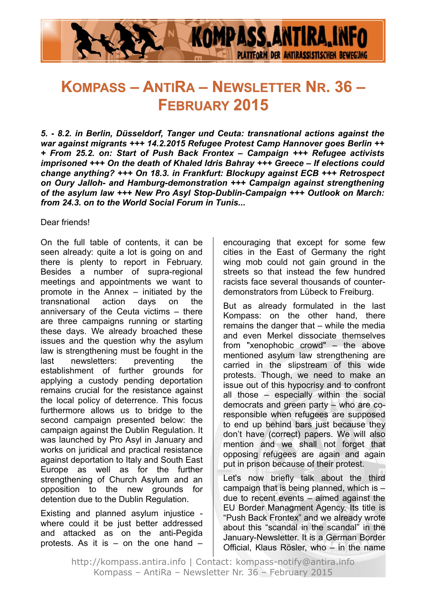

# **KOMPASS – ANTIRA – NEWSLETTER NR. 36 – FEBRUARY 2015**

*5. - 8.2. in Berlin, Düsseldorf, Tanger und Ceuta: transnational actions against the war against migrants +++ 14.2.2015 Refugee Protest Camp Hannover goes Berlin ++ + From 25.2. on: Start of Push Back Frontex – Campaign +++ Refugee activists imprisoned +++ On the death of Khaled Idris Bahray +++ Greece – If elections could change anything? +++ On 18.3. in Frankfurt: Blockupy against ECB +++ Retrospect on Oury Jalloh- and Hamburg-demonstration +++ Campaign against strengthening of the asylum law +++ New Pro Asyl Stop-Dublin-Campaign +++ Outlook on March: from 24.3. on to the World Social Forum in Tunis...*

Dear friends!

On the full table of contents, it can be seen already: quite a lot is going on and there is plenty to report in February. Besides a number of supra-regional meetings and appointments we want to promote in the Annex – initiated by the transnational action days on the anniversary of the Ceuta victims – there are three campaigns running or starting these days. We already broached these issues and the question why the asylum law is strengthening must be fought in the last newsletters: preventing the establishment of further grounds for applying a custody pending deportation remains crucial for the resistance against the local policy of deterrence. This focus furthermore allows us to bridge to the second campaign presented below: the campaign against the Dublin Regulation. It was launched by Pro Asyl in January and works on juridical and practical resistance against deportation to Italy and South East Europe as well as for the further strengthening of Church Asylum and an opposition to the new grounds for detention due to the Dublin Regulation.

Existing and planned asylum injustice where could it be just better addressed and attacked as on the anti-Pegida protests. As it is – on the one hand – encouraging that except for some few cities in the East of Germany the right wing mob could not gain ground in the streets so that instead the few hundred racists face several thousands of counterdemonstrators from Lübeck to Freiburg.

But as already formulated in the last Kompass: on the other hand, there remains the danger that – while the media and even Merkel dissociate themselves from "xenophobic crowd" – the above mentioned asylum law strengthening are carried in the slipstream of this wide protests. Though, we need to make an issue out of this hypocrisy and to confront all those – especially within the social democrats and green party – who are coresponsible when refugees are supposed to end up behind bars just because they don't have (correct) papers. We will also mention and we shall not forget that opposing refugees are again and again put in prison because of their protest.

Let's now briefly talk about the third campaign that is being planned, which is – due to recent events – aimed against the EU Border Managment Agency. Its title is "Push Back Frontex" and we already wrote about this "scandal in the scandal" in the January-Newsletter. It is a German Border Official, Klaus Rösler, who – in the name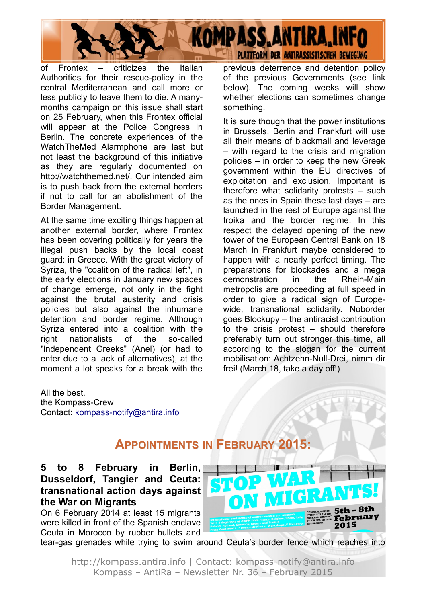of Frontex – criticizes the Italian Authorities for their rescue-policy in the central Mediterranean and call more or less publicly to leave them to die. A manymonths campaign on this issue shall start on 25 February, when this Frontex official will appear at the Police Congress in Berlin. The concrete experiences of the WatchTheMed Alarmphone are last but not least the background of this initiative as they are regularly documented on http://watchthemed.net/. Our intended aim is to push back from the external borders if not to call for an abolishment of the Border Management.

At the same time exciting things happen at another external border, where Frontex has been covering politically for years the illegal push backs by the local coast guard: in Greece. With the great victory of Syriza, the "coalition of the radical left", in the early elections in January new spaces of change emerge, not only in the fight against the brutal austerity and crisis policies but also against the inhumane detention and border regime. Although Syriza entered into a coalition with the right nationalists of the so-called "independent Greeks" (Anel) (or had to enter due to a lack of alternatives), at the moment a lot speaks for a break with the previous deterrence and detention policy of the previous Governments (see link below). The coming weeks will show whether elections can sometimes change something.

**PLATTFORM DER ANTIRASSISTISCHEN BEWEGUNG** 

**KOMPASS, ANTIRA, INFO** 

It is sure though that the power institutions in Brussels, Berlin and Frankfurt will use all their means of blackmail and leverage – with regard to the crisis and migration policies – in order to keep the new Greek government within the EU directives of exploitation and exclusion. Important is therefore what solidarity protests – such as the ones in Spain these last days – are launched in the rest of Europe against the troika and the border regime. In this respect the delayed opening of the new tower of the European Central Bank on 18 March in Frankfurt maybe considered to happen with a nearly perfect timing. The preparations for blockades and a mega demonstration in the Rhein-Main metropolis are proceeding at full speed in order to give a radical sign of Europewide, transnational solidarity. Noborder goes Blockupy – the antiracist contribution to the crisis protest – should therefore preferably turn out stronger this time, all according to the slogan for the current mobilisation: Achtzehn-Null-Drei, nimm dir frei! (March 18, take a day off!)

All the best, the Kompass-Crew Contact: [kompass-notify@antira.inf](mailto:kompass-notify@antira.info)o

# **APPOINTMENTS IN FEBRUARY 2015:**

### **5 to 8 February in Berlin, Dusseldorf, Tangier and Ceuta: transnational action days against the War on Migrants**

On 6 February 2014 at least 15 migrants were killed in front of the Spanish enclave Ceuta in Morocco by rubber bullets and

tear-gas grenades while trying to swim around Ceuta's border fence which reaches into

ON MIG

February 2015

http://kompass.antira.info | Contact: kompass-notify@antira.info Kompass – AntiRa – Newsletter Nr. 36 – February 2015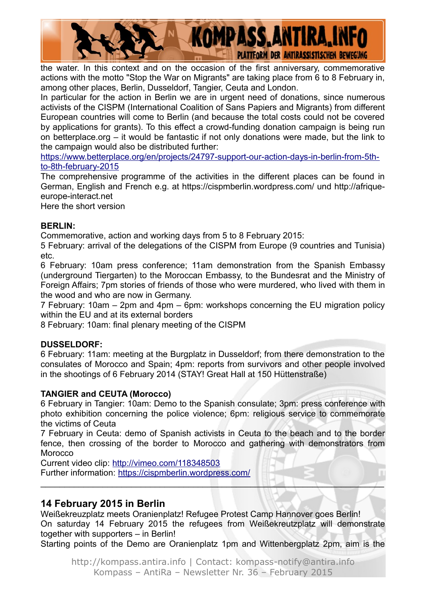

the water. In this context and on the occasion of the first anniversary, commemorative actions with the motto "Stop the War on Migrants" are taking place from 6 to 8 February in, among other places, Berlin, Dusseldorf, Tangier, Ceuta and London.

In particular for the action in Berlin we are in urgent need of donations, since numerous activists of the CISPM (International Coalition of Sans Papiers and Migrants) from different European countries will come to Berlin (and because the total costs could not be covered by applications for grants). To this effect a crowd-funding donation campaign is being run on betterplace.org – it would be fantastic if not only donations were made, but the link to the campaign would also be distributed further:

[https://www.betterplace.org/en/projects/24797-support-our-action-days-in-berlin-from-5th](https://www.betterplace.org/en/projects/24797-support-our-action-days-in-berlin-from-5th-to-8th-february-2015)[to-8th-february-2015](https://www.betterplace.org/en/projects/24797-support-our-action-days-in-berlin-from-5th-to-8th-february-2015)

The comprehensive programme of the activities in the different places can be found in German, English and French e.g. at https://cispmberlin.wordpress.com/ und http://afriqueeurope-interact.net

Here the short version

#### **BERLIN:**

Commemorative, action and working days from 5 to 8 February 2015:

5 February: arrival of the delegations of the CISPM from Europe (9 countries and Tunisia) etc.

6 February: 10am press conference; 11am demonstration from the Spanish Embassy (underground Tiergarten) to the Moroccan Embassy, to the Bundesrat and the Ministry of Foreign Affairs; 7pm stories of friends of those who were murdered, who lived with them in the wood and who are now in Germany.

7 February: 10am – 2pm and 4pm – 6pm: workshops concerning the EU migration policy within the EU and at its external borders

8 February: 10am: final plenary meeting of the CISPM

#### **DUSSELDORF:**

6 February: 11am: meeting at the Burgplatz in Dusseldorf; from there demonstration to the consulates of Morocco and Spain; 4pm: reports from survivors and other people involved in the shootings of 6 February 2014 (STAY! Great Hall at 150 Hüttenstraße)

#### **TANGIER and CEUTA (Morocco)**

6 February in Tangier: 10am: Demo to the Spanish consulate; 3pm: press conference with photo exhibition concerning the police violence; 6pm: religious service to commemorate the victims of Ceuta

7 February in Ceuta: demo of Spanish activists in Ceuta to the beach and to the border fence, then crossing of the border to Morocco and gathering with demonstrators from **Morocco** 

 $\blacksquare$ 

Current video clip:<http://vimeo.com/118348503> Further information:<https://cispmberlin.wordpress.com/>

#### **14 February 2015 in Berlin**

Weißekreuzplatz meets Oranienplatz! Refugee Protest Camp Hannover goes Berlin! On saturday 14 February 2015 the refugees from Weißekreutzplatz will demonstrate together with supporters – in Berlin!

Starting points of the Demo are Oranienplatz 1pm and Wittenbergplatz 2pm, aim is the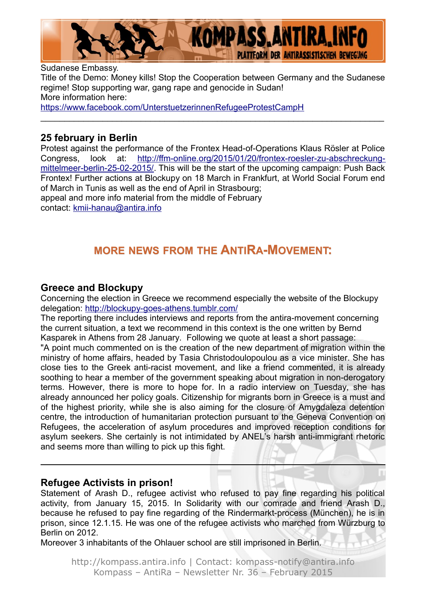

Sudanese Embassy. Title of the Demo: Money kills! Stop the Cooperation between Germany and the Sudanese regime! Stop supporting war, gang rape and genocide in Sudan! More information here: <https://www.facebook.com/UnterstuetzerinnenRefugeeProtestCampH>

 $\_$ 

### **25 february in Berlin**

Protest against the performance of the Frontex Head-of-Operations Klaus Rösler at Police Congress, look at: [http://ffm-online.org/2015/01/20/frontex-roesler-zu-abschreckung](http://ffm-online.org/2015/01/20/frontex-roesler-zu-abschreckung-mittelmeer-berlin-25-02-2015/)[mittelmeer-berlin-25-02-2015/.](http://ffm-online.org/2015/01/20/frontex-roesler-zu-abschreckung-mittelmeer-berlin-25-02-2015/) This will be the start of the upcoming campaign: Push Back Frontex! Further actions at Blockupy on 18 March in Frankfurt, at World Social Forum end of March in Tunis as well as the end of April in Strasbourg; appeal and more info material from the middle of February contact: [kmii-hanau@antira.info](mailto:kmii-hanau@antira.info)

# **MORE NEWS FROM THE ANTIRA-MOVEMENT:**

### **Greece and Blockupy**

Concerning the election in Greece we recommend especially the website of the Blockupy delegation:<http://blockupy-goes-athens.tumblr.com/>

The reporting there includes interviews and reports from the antira-movement concerning the current situation, a text we recommend in this context is the one written by Bernd Kasparek in Athens from 28 January. Following we quote at least a short passage: "A point much commented on is the creation of the new department of migration within the ministry of home affairs, headed by Tasia Christodoulopoulou as a vice minister. She has close ties to the Greek anti-racist movement, and like a friend commented, it is already soothing to hear a member of the government speaking about migration in non-derogatory terms. However, there is more to hope for. In a radio interview on Tuesday, she has already announced her policy goals. Citizenship for migrants born in Greece is a must and of the highest priority, while she is also aiming for the closure of Amygdaleza detention centre, the introduction of humanitarian protection pursuant to the Geneva Convention on Refugees, the acceleration of asylum procedures and improved reception conditions for asylum seekers. She certainly is not intimidated by ANEL's harsh anti-immigrant rhetoric and seems more than willing to pick up this fight.

#### **Refugee Activists in prison!**

Statement of Arash D., refugee activist who refused to pay fine regarding his political activity, from January 15, 2015. In Solidarity with our comrade and friend Arash D., because he refused to pay fine regarding of the Rindermarkt-process (München), he is in prison, since 12.1.15. He was one of the refugee activists who marched from Würzburg to Berlin on 2012.

Moreover 3 inhabitants of the Ohlauer school are still imprisoned in Berlin.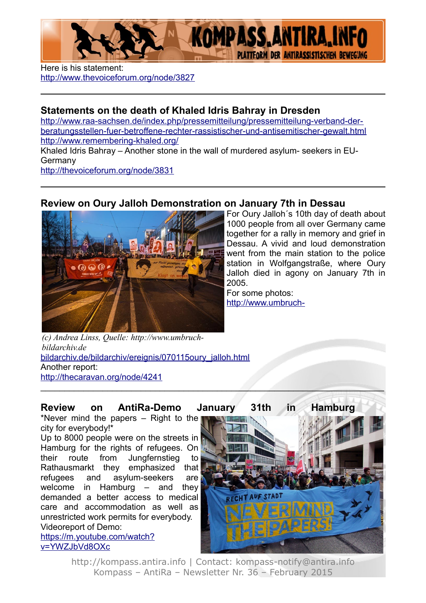

Here is his statement: <http://www.thevoiceforum.org/node/3827>

## **Statements on the death of Khaled Idris Bahray in Dresden**

[http://www.raa-sachsen.de/index.php/pressemitteilung/pressemitteilung-verband-der](http://www.raa-sachsen.de/index.php/pressemitteilung/pressemitteilung-verband-der-beratungsstellen-fuer-betroffene-rechter-rassistischer-und-antisemitischer-gewalt.html)[beratungsstellen-fuer-betroffene-rechter-rassistischer-und-antisemitischer-gewalt.html](http://www.raa-sachsen.de/index.php/pressemitteilung/pressemitteilung-verband-der-beratungsstellen-fuer-betroffene-rechter-rassistischer-und-antisemitischer-gewalt.html) <http://www.remembering-khaled.org/>

Khaled Idris Bahray – Another stone in the wall of murdered asylum- seekers in EU-Germany

<http://thevoiceforum.org/node/3831>

### **Review on Oury Jalloh Demonstration on January 7th in Dessau**



For Oury Jalloh´s 10th day of death about 1000 people from all over Germany came together for a rally in memory and grief in Dessau. A vivid and loud demonstration went from the main station to the police station in Wolfgangstraße, where Oury Jalloh died in agony on January 7th in 2005.

For some photos: [http://www.umbruch-](http://www.umbruch-bildarchiv.de/bildarchiv/ereignis/070115oury_jalloh.html)

[bildarchiv.de/bildarchiv/ereignis/070115oury\\_jalloh.html](http://www.umbruch-bildarchiv.de/bildarchiv/ereignis/070115oury_jalloh.html) Another report: <http://thecaravan.org/node/4241> *[\(](http://www.umbruch-bildarchiv.de/bildarchiv/ereignis/070115oury_jalloh.html)c) Andrea Linss, Quelle: http://www.umbruchbildarchiv.de*

**Review on AntiRa-Demo January 31th in Hamburg**

 $\mathcal{L} = \{ \mathcal{L} \mid \mathcal{L} \neq \emptyset \}$ 

\*Never mind the papers – Right to the city for everybody!\*

Up to 8000 people were on the streets in Hamburg for the rights of refugees. On their route from Jungfernstieg to Rathausmarkt they emphasized that refugees and asylum-seekers are welcome in Hamburg – and they demanded a better access to medical care and accommodation as well as unrestricted work permits for everybody. Videoreport of Demo: [https://m.youtube.com/watch?](https://m.youtube.com/watch?v=YWZJbVd8OXc)

[v=YWZJbVd8OXc](https://m.youtube.com/watch?v=YWZJbVd8OXc)



http://kompass.antira.info | Contact: kompass-notify@antira.info Kompass – AntiRa – Newsletter Nr. 36 – February 2015